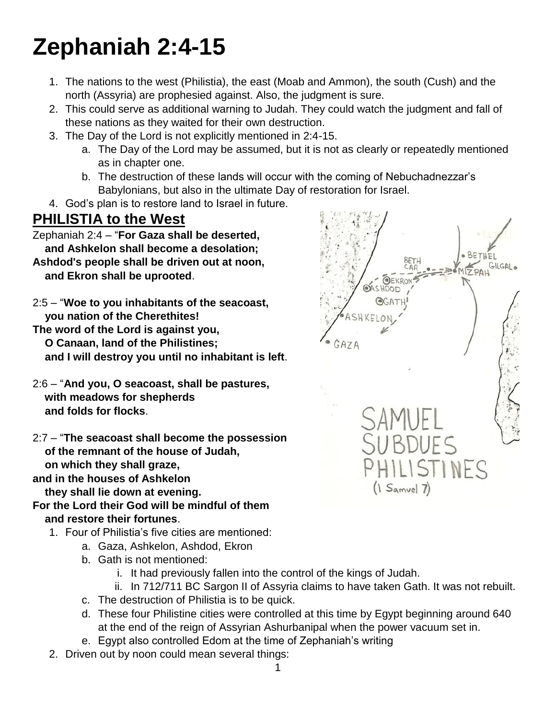# **Zephaniah 2:4-15**

- 1. The nations to the west (Philistia), the east (Moab and Ammon), the south (Cush) and the north (Assyria) are prophesied against. Also, the judgment is sure.
- 2. This could serve as additional warning to Judah. They could watch the judgment and fall of these nations as they waited for their own destruction.
- 3. The Day of the Lord is not explicitly mentioned in 2:4-15.
	- a. The Day of the Lord may be assumed, but it is not as clearly or repeatedly mentioned as in chapter one.
	- b. The destruction of these lands will occur with the coming of Nebuchadnezzar's Babylonians, but also in the ultimate Day of restoration for Israel.
- 4. God's plan is to restore land to Israel in future.

### **PHILISTIA to the West**

Zephaniah 2:4 – "**For Gaza shall be deserted, and Ashkelon shall become a desolation; Ashdod's people shall be driven out at noon, and Ekron shall be uprooted**.

2:5 – "**Woe to you inhabitants of the seacoast, you nation of the Cherethites!**

**The word of the Lord is against you, O Canaan, land of the Philistines; and I will destroy you until no inhabitant is left**.

2:6 – "**And you, O seacoast, shall be pastures, with meadows for shepherds and folds for flocks**.

2:7 – "**The seacoast shall become the possession of the remnant of the house of Judah, on which they shall graze,**

**and in the houses of Ashkelon**

 **they shall lie down at evening. For the Lord their God will be mindful of them**

#### **and restore their fortunes**.

- 1. Four of Philistia's five cities are mentioned:
	- a. Gaza, Ashkelon, Ashdod, Ekron
	- b. Gath is not mentioned:
		- i. It had previously fallen into the control of the kings of Judah.
		- ii. In 712/711 BC Sargon II of Assyria claims to have taken Gath. It was not rebuilt.
	- c. The destruction of Philistia is to be quick.
	- d. These four Philistine cities were controlled at this time by Egypt beginning around 640 at the end of the reign of Assyrian Ashurbanipal when the power vacuum set in.
	- e. Egypt also controlled Edom at the time of Zephaniah's writing
- 2. Driven out by noon could mean several things:

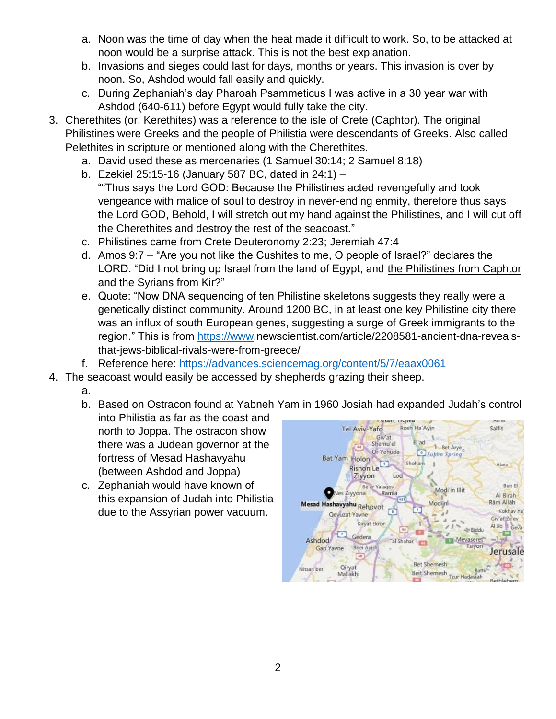- a. Noon was the time of day when the heat made it difficult to work. So, to be attacked at noon would be a surprise attack. This is not the best explanation.
- b. Invasions and sieges could last for days, months or years. This invasion is over by noon. So, Ashdod would fall easily and quickly.
- c. During Zephaniah's day Pharoah Psammeticus I was active in a 30 year war with Ashdod (640-611) before Egypt would fully take the city.
- 3. Cherethites (or, Kerethites) was a reference to the isle of Crete (Caphtor). The original Philistines were Greeks and the people of Philistia were descendants of Greeks. Also called Pelethites in scripture or mentioned along with the Cherethites.
	- a. David used these as mercenaries (1 Samuel 30:14; 2 Samuel 8:18)
	- b. Ezekiel 25:15-16 (January 587 BC, dated in 24:1) ""Thus says the Lord GOD: Because the Philistines acted revengefully and took vengeance with malice of soul to destroy in never-ending enmity, therefore thus says the Lord GOD, Behold, I will stretch out my hand against the Philistines, and I will cut off the Cherethites and destroy the rest of the seacoast."
	- c. Philistines came from Crete Deuteronomy 2:23; Jeremiah 47:4
	- d. Amos 9:7 "Are you not like the Cushites to me, O people of Israel?" declares the LORD. "Did I not bring up Israel from the land of Egypt, and the Philistines from Caphtor and the Syrians from Kir?"
	- e. Quote: "Now DNA sequencing of ten Philistine skeletons suggests they really were a genetically distinct community. Around 1200 BC, in at least one key Philistine city there was an influx of south European genes, suggesting a surge of Greek immigrants to the region." This is from [https://www.](https://www/)newscientist.com/article/2208581-ancient-dna-revealsthat-jews-biblical-rivals-were-from-greece/
	- f. Reference here:<https://advances.sciencemag.org/content/5/7/eaax0061>
- 4. The seacoast would easily be accessed by shepherds grazing their sheep.
	- a.
	- b. Based on Ostracon found at Yabneh Yam in 1960 Josiah had expanded Judah's control into Philistia as far as the coast and
		- north to Joppa. The ostracon show there was a Judean governor at the fortress of Mesad Hashavyahu (between Ashdod and Joppa)
	- c. Zephaniah would have known of this expansion of Judah into Philistia due to the Assyrian power vacuum.

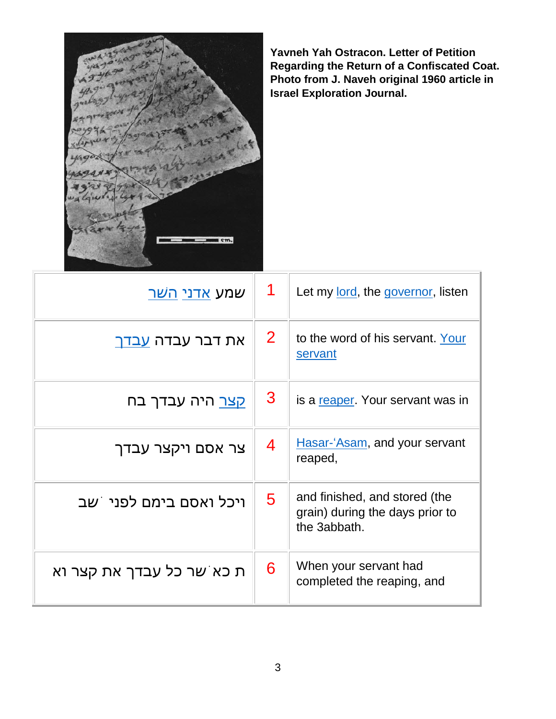

**Yavneh Yah Ostracon. Letter of Petition Regarding the Return of a Confiscated Coat. Photo from J. Naveh original 1960 article in Israel Exploration Journal.**

| שמע <u>אדני הש</u> ר      | 1            | Let my lord, the governor, listen                                                |
|---------------------------|--------------|----------------------------------------------------------------------------------|
| את דבר עבדה <u>עבדך</u>   | $\mathbf{2}$ | to the word of his servant. Your<br>servant                                      |
| קצר היה עבדך בח           | 3            | is a reaper. Your servant was in                                                 |
| צר אסם ויקצר עבדך         | 4            | Hasar-'Asam, and your servant<br>reaped,                                         |
| ויכל ואסם בימם לפני ֹשב   | 5            | and finished, and stored (the<br>grain) during the days prior to<br>the 3abbath. |
| ת כא שר כל עבדך את קצר וא | 6            | When your servant had<br>completed the reaping, and                              |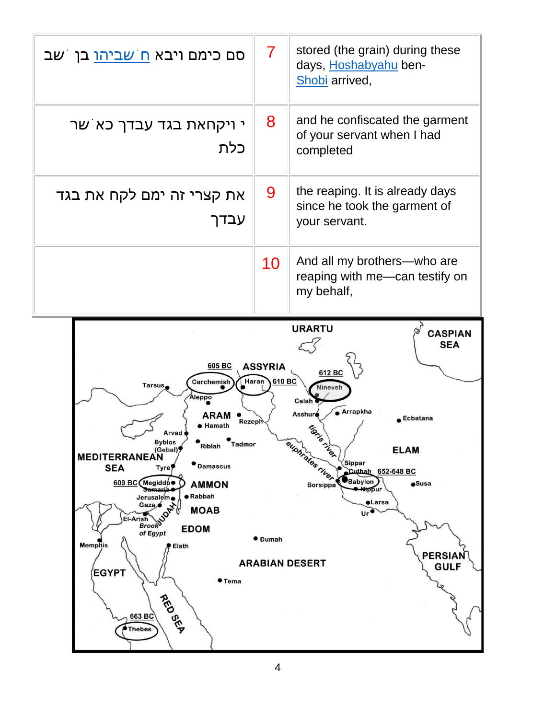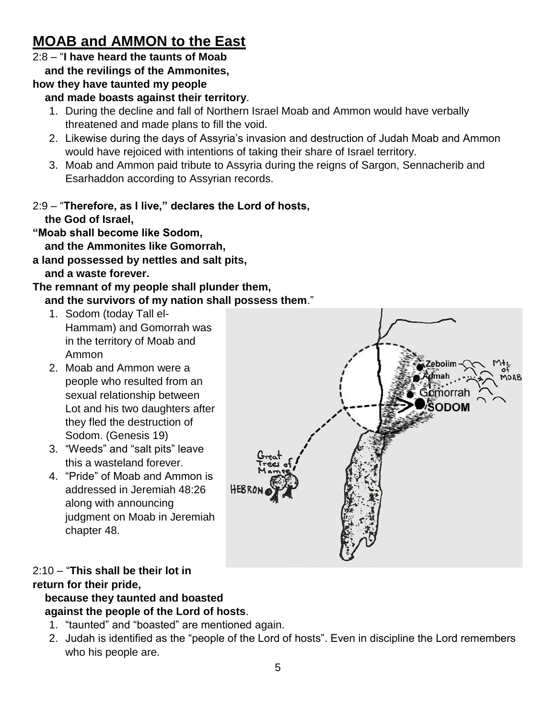## **MOAB and AMMON to the East**

### 2:8 – "**I have heard the taunts of Moab**

 **and the revilings of the Ammonites,**

#### **how they have taunted my people**

#### **and made boasts against their territory**.

- 1. During the decline and fall of Northern Israel Moab and Ammon would have verbally threatened and made plans to fill the void.
- 2. Likewise during the days of Assyria's invasion and destruction of Judah Moab and Ammon would have rejoiced with intentions of taking their share of Israel territory.
- 3. Moab and Ammon paid tribute to Assyria during the reigns of Sargon, Sennacherib and Esarhaddon according to Assyrian records.

#### 2:9 – "**Therefore, as I live," declares the Lord of hosts, the God of Israel,**

**"Moab shall become like Sodom,**

 **and the Ammonites like Gomorrah,**

**a land possessed by nettles and salt pits, and a waste forever.**

#### **The remnant of my people shall plunder them, and the survivors of my nation shall possess them**."

- 1. Sodom (today Tall el-Hammam) and Gomorrah was in the territory of Moab and Ammon
- 2. Moab and Ammon were a people who resulted from an sexual relationship between Lot and his two daughters after they fled the destruction of Sodom. (Genesis 19)
- 3. "Weeds" and "salt pits" leave this a wasteland forever.
- 4. "Pride" of Moab and Ammon is addressed in Jeremiah 48:26 along with announcing judgment on Moab in Jeremiah chapter 48.

#### 2:10 – "**This shall be their lot in return for their pride, because they taunted and boasted**

# **against the people of the Lord of hosts**.

- 1. "taunted" and "boasted" are mentioned again.
- 2. Judah is identified as the "people of the Lord of hosts". Even in discipline the Lord remembers who his people are.

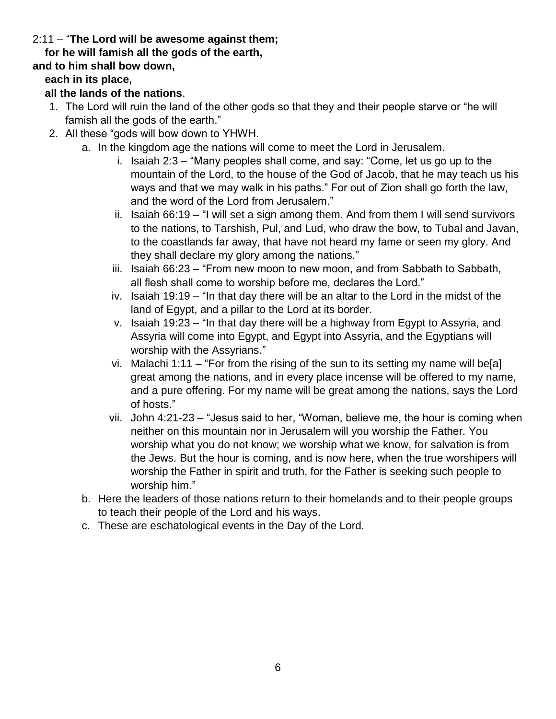#### 2:11 – "**The Lord will be awesome against them;**

#### **for he will famish all the gods of the earth,**

#### **and to him shall bow down,**

#### **each in its place,**

#### **all the lands of the nations**.

- 1. The Lord will ruin the land of the other gods so that they and their people starve or "he will famish all the gods of the earth."
- 2. All these "gods will bow down to YHWH.
	- a. In the kingdom age the nations will come to meet the Lord in Jerusalem.
		- i. Isaiah 2:3 "Many peoples shall come, and say: "Come, let us go up to the mountain of the Lord, to the house of the God of Jacob, that he may teach us his ways and that we may walk in his paths." For out of Zion shall go forth the law, and the word of the Lord from Jerusalem."
		- ii. Isaiah 66:19 "I will set a sign among them. And from them I will send survivors to the nations, to Tarshish, Pul, and Lud, who draw the bow, to Tubal and Javan, to the coastlands far away, that have not heard my fame or seen my glory. And they shall declare my glory among the nations."
		- iii. Isaiah 66:23 "From new moon to new moon, and from Sabbath to Sabbath, all flesh shall come to worship before me, declares the Lord."
		- iv. Isaiah 19:19 "In that day there will be an altar to the Lord in the midst of the land of Egypt, and a pillar to the Lord at its border.
		- v. Isaiah 19:23 "In that day there will be a highway from Egypt to Assyria, and Assyria will come into Egypt, and Egypt into Assyria, and the Egyptians will worship with the Assyrians."
		- vi. Malachi 1:11 "For from the rising of the sun to its setting my name will be[a] great among the nations, and in every place incense will be offered to my name, and a pure offering. For my name will be great among the nations, says the Lord of hosts."
		- vii. John 4:21-23 "Jesus said to her, "Woman, believe me, the hour is coming when neither on this mountain nor in Jerusalem will you worship the Father. You worship what you do not know; we worship what we know, for salvation is from the Jews. But the hour is coming, and is now here, when the true worshipers will worship the Father in spirit and truth, for the Father is seeking such people to worship him."
	- b. Here the leaders of those nations return to their homelands and to their people groups to teach their people of the Lord and his ways.
	- c. These are eschatological events in the Day of the Lord.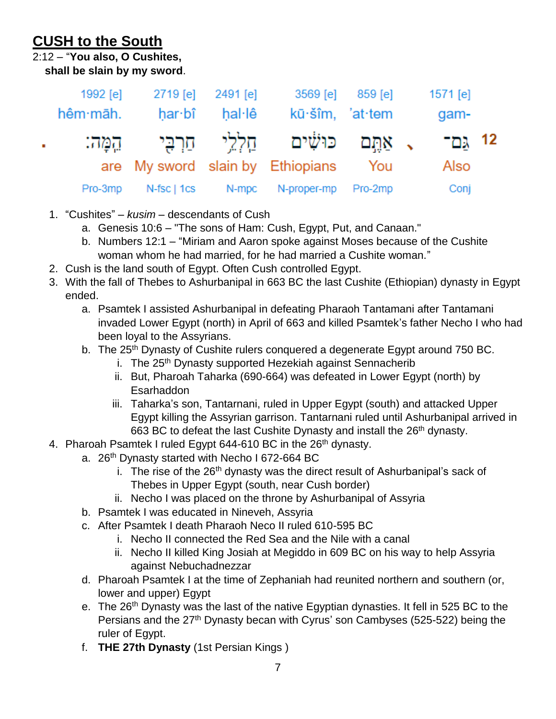# **CUSH to the South**

2:12 – "**You also, O Cushites,**

 **shall be slain by my sword**.

|    | 1992 [e] | 2719 [e] 2491 [e]                           |        | 3569 [e]                         | 859 [e] | 1571 [e] |  |
|----|----------|---------------------------------------------|--------|----------------------------------|---------|----------|--|
|    | hêm māh. | har·bî                                      | hal·lê | kū·šîm, 'at·tem                  |         | gam-     |  |
| a. |          | , אַתֵּם כּוּשִׁים חַלְלֵי חַרְבִּי הֵמֶּה: |        |                                  | 12 גם־  |          |  |
|    |          |                                             |        | are My sword slain by Ethiopians | You     | Also     |  |
|    | Pro-3mp  | N-fsc   1cs                                 | N-mpc  | N-proper-mp                      | Pro-2mp | Conj     |  |

- 1. "Cushites" *kusim* descendants of Cush
	- a. Genesis 10:6 "The sons of Ham: Cush, Egypt, Put, and Canaan."
	- b. Numbers 12:1 "Miriam and Aaron spoke against Moses because of the Cushite woman whom he had married, for he had married a Cushite woman."
- 2. Cush is the land south of Egypt. Often Cush controlled Egypt.
- 3. With the fall of Thebes to Ashurbanipal in 663 BC the last Cushite (Ethiopian) dynasty in Egypt ended.
	- a. Psamtek I assisted Ashurbanipal in defeating Pharaoh Tantamani after Tantamani invaded Lower Egypt (north) in April of 663 and killed Psamtek's father Necho I who had been loyal to the Assyrians.
	- b. The 25<sup>th</sup> Dynasty of Cushite rulers conquered a degenerate Egypt around 750 BC.
		- i. The 25<sup>th</sup> Dynasty supported Hezekiah against Sennacherib
		- ii. But, Pharoah Taharka (690-664) was defeated in Lower Egypt (north) by **Esarhaddon**
		- iii. Taharka's son, Tantarnani, ruled in Upper Egypt (south) and attacked Upper Egypt killing the Assyrian garrison. Tantarnani ruled until Ashurbanipal arrived in 663 BC to defeat the last Cushite Dynasty and install the 26<sup>th</sup> dynasty.
- 4. Pharoah Psamtek I ruled Egypt 644-610 BC in the 26<sup>th</sup> dynasty.
	- a.  $26<sup>th</sup>$  Dynasty started with Necho I 672-664 BC
		- i. The rise of the  $26<sup>th</sup>$  dynasty was the direct result of Ashurbanipal's sack of Thebes in Upper Egypt (south, near Cush border)
		- ii. Necho I was placed on the throne by Ashurbanipal of Assyria
	- b. Psamtek I was educated in Nineveh, Assyria
	- c. After Psamtek I death Pharaoh Neco II ruled 610-595 BC
		- i. Necho II connected the Red Sea and the Nile with a canal
		- ii. Necho II killed King Josiah at Megiddo in 609 BC on his way to help Assyria against Nebuchadnezzar
	- d. Pharoah Psamtek I at the time of Zephaniah had reunited northern and southern (or, lower and upper) Egypt
	- e. The 26<sup>th</sup> Dynasty was the last of the native Egyptian dynasties. It fell in 525 BC to the Persians and the 27<sup>th</sup> Dynasty becan with Cyrus' son Cambyses (525-522) being the ruler of Egypt.
	- f. **THE 27th Dynasty** (1st Persian Kings )